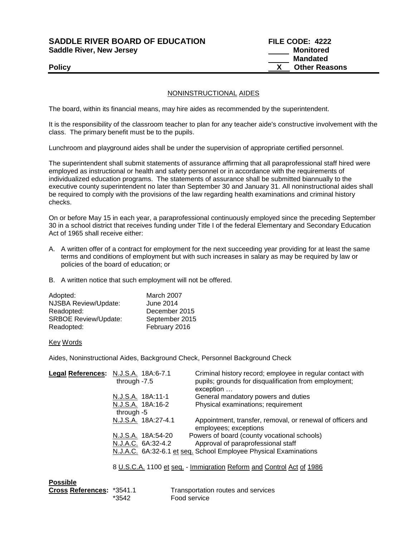**SADDLE RIVER BOARD OF EDUCATION FILE CODE: 4222**  Saddle River, New Jersey **Monitored Saddle River, New Jersey** Monitored

 **Mandated** Policy **CONSERVANT CONSERVANT CONSERVANT CONSERVANT CONSERVANT CONSERVANT CONSERVANT CONSERVANT CONSERVANT CONSERVANT CONSERVANT CONSERVANT CONSERVANT CONSERVANT CONSERVANT CONSERVANT CONSERVANT CONSERVANT CONSERVANT CONSE** 

## NONINSTRUCTIONAL AIDES

The board, within its financial means, may hire aides as recommended by the superintendent.

It is the responsibility of the classroom teacher to plan for any teacher aide's constructive involvement with the class. The primary benefit must be to the pupils.

Lunchroom and playground aides shall be under the supervision of appropriate certified personnel.

The superintendent shall submit statements of assurance affirming that all paraprofessional staff hired were employed as instructional or health and safety personnel or in accordance with the requirements of individualized education programs. The statements of assurance shall be submitted biannually to the executive county superintendent no later than September 30 and January 31. All noninstructional aides shall be required to comply with the provisions of the law regarding health examinations and criminal history checks.

On or before May 15 in each year, a paraprofessional continuously employed since the preceding September 30 in a school district that receives funding under Title I of the federal Elementary and Secondary Education Act of 1965 shall receive either:

- A. A written offer of a contract for employment for the next succeeding year providing for at least the same terms and conditions of employment but with such increases in salary as may be required by law or policies of the board of education; or
- B. A written notice that such employment will not be offered.

| Adopted:                    | March 2007       |
|-----------------------------|------------------|
| NJSBA Review/Update:        | <b>June 2014</b> |
| Readopted:                  | December 2015    |
| <b>SRBOE Review/Update:</b> | September 2015   |
| Readopted:                  | February 2016    |

## Key Words

**Possible**

Aides, Noninstructional Aides, Background Check, Personnel Background Check

| Legal References: N.J.S.A. 18A:6-7.1 | through -7.5                                                         |                     | Criminal history record; employee in regular contact with<br>pupils; grounds for disqualification from employment;<br>exception |
|--------------------------------------|----------------------------------------------------------------------|---------------------|---------------------------------------------------------------------------------------------------------------------------------|
|                                      |                                                                      | N.J.S.A. 18A:11-1   | General mandatory powers and duties                                                                                             |
|                                      |                                                                      | N.J.S.A. 18A:16-2   | Physical examinations; requirement                                                                                              |
|                                      | through -5                                                           |                     |                                                                                                                                 |
|                                      |                                                                      | N.J.S.A. 18A:27-4.1 | Appointment, transfer, removal, or renewal of officers and<br>employees; exceptions                                             |
|                                      |                                                                      | N.J.S.A. 18A:54-20  | Powers of board (county vocational schools)                                                                                     |
|                                      |                                                                      | N.J.A.C. 6A:32-4.2  | Approval of paraprofessional staff                                                                                              |
|                                      | N.J.A.C. 6A:32-6.1 et seq. School Employee Physical Examinations     |                     |                                                                                                                                 |
|                                      | 8 U.S.C.A. 1100 et seq. - Immigration Reform and Control Act of 1986 |                     |                                                                                                                                 |

| г иззімс                  |       |                                    |
|---------------------------|-------|------------------------------------|
| Cross References: *3541.1 |       | Transportation routes and services |
|                           | *3542 | Food service                       |